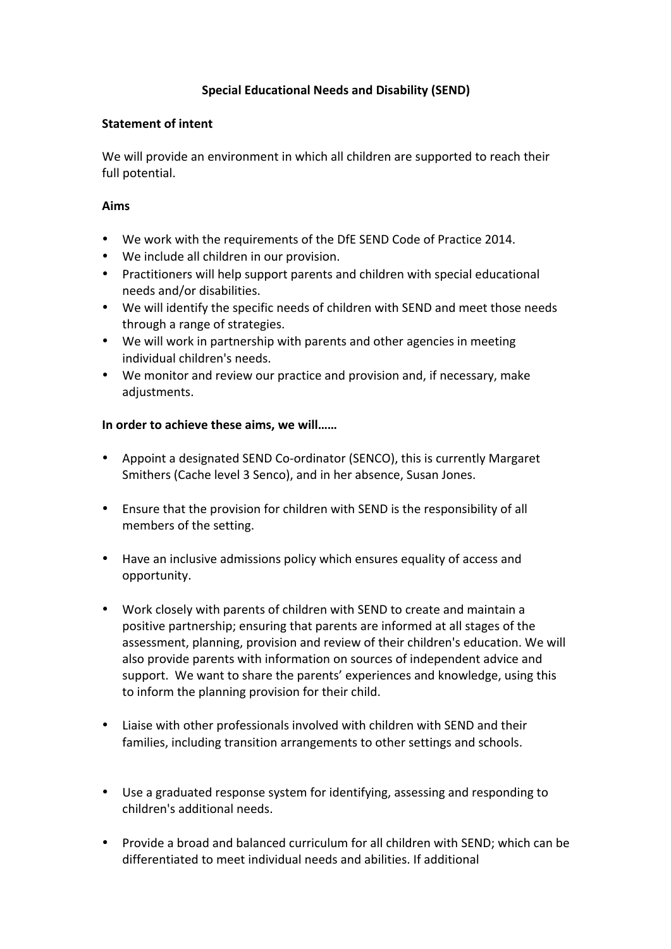## **Special Educational Needs and Disability (SEND)**

## **Statement of intent**

We will provide an environment in which all children are supported to reach their full potential.

## **Aims**

- We work with the requirements of the DfE SEND Code of Practice 2014.
- We include all children in our provision.
- Practitioners will help support parents and children with special educational needs and/or disabilities.
- We will identify the specific needs of children with SEND and meet those needs through a range of strategies.
- We will work in partnership with parents and other agencies in meeting individual children's needs.
- We monitor and review our practice and provision and, if necessary, make adjustments.

## In order to achieve these aims, we will......

- Appoint a designated SEND Co-ordinator (SENCO), this is currently Margaret Smithers (Cache level 3 Senco), and in her absence, Susan Jones.
- Ensure that the provision for children with SEND is the responsibility of all members of the setting.
- Have an inclusive admissions policy which ensures equality of access and opportunity.
- Work closely with parents of children with SEND to create and maintain a positive partnership; ensuring that parents are informed at all stages of the assessment, planning, provision and review of their children's education. We will also provide parents with information on sources of independent advice and support. We want to share the parents' experiences and knowledge, using this to inform the planning provision for their child.
- Liaise with other professionals involved with children with SEND and their families, including transition arrangements to other settings and schools.
- Use a graduated response system for identifying, assessing and responding to children's additional needs.
- Provide a broad and balanced curriculum for all children with SEND; which can be differentiated to meet individual needs and abilities. If additional